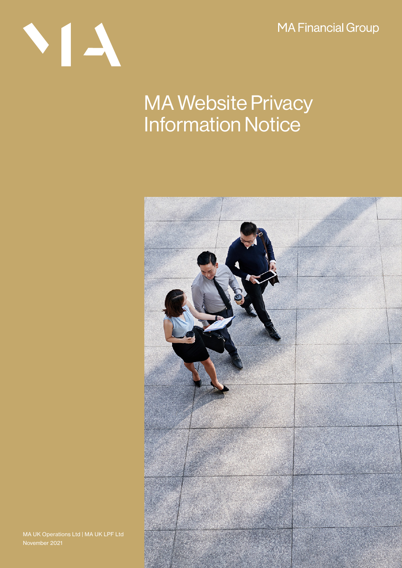**MA Financial Group** 

# NI A

## MA Website Privacy Information Notice



MA UK Operations Ltd | MA UK LPF Ltd November 2021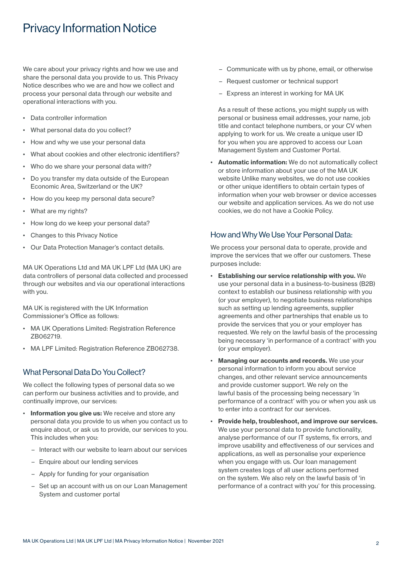### Privacy Information Notice

We care about your privacy rights and how we use and share the personal data you provide to us. This Privacy Notice describes who we are and how we collect and process your personal data through our website and operational interactions with you.

- Data controller information
- What personal data do you collect?
- How and why we use your personal data
- What about cookies and other electronic identifiers?
- Who do we share your personal data with?
- Do you transfer my data outside of the European Economic Area, Switzerland or the UK?
- How do you keep my personal data secure?
- What are my rights?
- How long do we keep your personal data?
- Changes to this Privacy Notice
- Our Data Protection Manager's contact details.

MA UK Operations Ltd and MA UK LPF Ltd (MA UK) are data controllers of personal data collected and processed through our websites and via our operational interactions with you.

MA UK is registered with the UK Information Commissioner's Office as follows:

- MA UK Operations Limited: Registration Reference ZB062719.
- MA LPF Limited: Registration Reference ZB062738.

#### What Personal Data Do You Collect?

We collect the following types of personal data so we can perform our business activities and to provide, and continually improve, our services:

- Information you give us: We receive and store any personal data you provide to us when you contact us to enquire about, or ask us to provide, our services to you. This includes when you:
	- Interact with our website to learn about our services
	- Enquire about our lending services
	- Apply for funding for your organisation
	- Set up an account with us on our Loan Management System and customer portal
- Communicate with us by phone, email, or otherwise
- Request customer or technical support
- Express an interest in working for MA UK

As a result of these actions, you might supply us with personal or business email addresses, your name, job title and contact telephone numbers, or your CV when applying to work for us. We create a unique user ID for you when you are approved to access our Loan Management System and Customer Portal.

Automatic information: We do not automatically collect or store information about your use of the MA UK website Unlike many websites, we do not use cookies or other unique identifiers to obtain certain types of information when your web browser or device accesses our website and application services. As we do not use cookies, we do not have a Cookie Policy.

#### How and Why We Use Your Personal Data:

We process your personal data to operate, provide and improve the services that we offer our customers. These purposes include:

- Establishing our service relationship with you. We use your personal data in a business-to-business (B2B) context to establish our business relationship with you (or your employer), to negotiate business relationships such as setting up lending agreements, supplier agreements and other partnerships that enable us to provide the services that you or your employer has requested. We rely on the lawful basis of the processing being necessary 'in performance of a contract' with you (or your employer).
- Managing our accounts and records. We use your personal information to inform you about service changes, and other relevant service announcements and provide customer support. We rely on the lawful basis of the processing being necessary 'in performance of a contract' with you or when you ask us to enter into a contract for our services.
- Provide help, troubleshoot, and improve our services. We use your personal data to provide functionality, analyse performance of our IT systems, fix errors, and improve usability and effectiveness of our services and applications, as well as personalise your experience when you engage with us. Our loan management system creates logs of all user actions performed on the system. We also rely on the lawful basis of 'in performance of a contract with you' for this processing.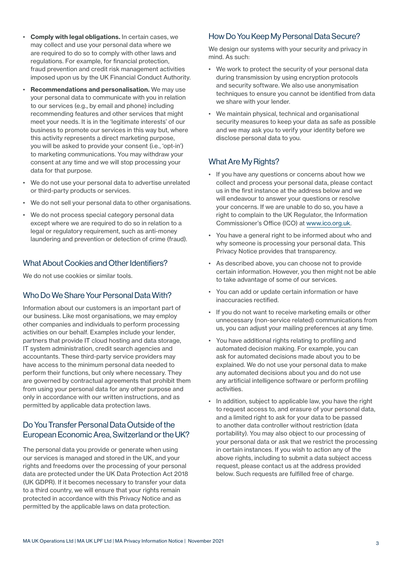- Comply with legal obligations. In certain cases, we may collect and use your personal data where we are required to do so to comply with other laws and regulations. For example, for financial protection, fraud prevention and credit risk management activities imposed upon us by the UK Financial Conduct Authority.
- **Recommendations and personalisation.** We may use your personal data to communicate with you in relation to our services (e.g., by email and phone) including recommending features and other services that might meet your needs. It is in the 'legitimate interests' of our business to promote our services in this way but, where this activity represents a direct marketing purpose, you will be asked to provide your consent (i.e., 'opt-in') to marketing communications. You may withdraw your consent at any time and we will stop processing your data for that purpose.
- We do not use your personal data to advertise unrelated or third-party products or services.
- We do not sell your personal data to other organisations.
- We do not process special category personal data except where we are required to do so in relation to a legal or regulatory requirement, such as anti-money laundering and prevention or detection of crime (fraud).

#### What About Cookies and Other Identifiers?

We do not use cookies or similar tools.

#### Who Do We Share Your Personal Data With?

Information about our customers is an important part of our business. Like most organisations, we may employ other companies and individuals to perform processing activities on our behalf. Examples include your lender, partners that provide IT cloud hosting and data storage, IT system administration, credit search agencies and accountants. These third-party service providers may have access to the minimum personal data needed to perform their functions, but only where necessary. They are governed by contractual agreements that prohibit them from using your personal data for any other purpose and only in accordance with our written instructions, and as permitted by applicable data protection laws.

#### Do You Transfer Personal Data Outside of the European Economic Area, Switzerland or the UK?

The personal data you provide or generate when using our services is managed and stored in the UK, and your rights and freedoms over the processing of your personal data are protected under the UK Data Protection Act 2018 (UK GDPR). If it becomes necessary to transfer your data to a third country, we will ensure that your rights remain protected in accordance with this Privacy Notice and as permitted by the applicable laws on data protection.

#### How Do You Keep My Personal Data Secure?

We design our systems with your security and privacy in mind. As such:

- We work to protect the security of your personal data during transmission by using encryption protocols and security software. We also use anonymisation techniques to ensure you cannot be identified from data we share with your lender.
- We maintain physical, technical and organisational security measures to keep your data as safe as possible and we may ask you to verify your identity before we disclose personal data to you.

#### What Are My Rights?

- If you have any questions or concerns about how we collect and process your personal data, please contact us in the first instance at the address below and we will endeavour to answer your questions or resolve your concerns. If we are unable to do so, you have a right to complain to the UK Regulator, the Information Commissioner's Office (ICO) at [www.ico.org.uk.](http://www.ico.org.uk)
- You have a general right to be informed about who and why someone is processing your personal data. This Privacy Notice provides that transparency.
- As described above, you can choose not to provide certain information. However, you then might not be able to take advantage of some of our services.
- You can add or update certain information or have inaccuracies rectified.
- If you do not want to receive marketing emails or other unnecessary (non-service related) communications from us, you can adjust your mailing preferences at any time.
- You have additional rights relating to profiling and automated decision making. For example, you can ask for automated decisions made about you to be explained. We do not use your personal data to make any automated decisions about you and do not use any artificial intelligence software or perform profiling activities.
- In addition, subject to applicable law, you have the right to request access to, and erasure of your personal data, and a limited right to ask for your data to be passed to another data controller without restriction (data portability). You may also object to our processing of your personal data or ask that we restrict the processing in certain instances. If you wish to action any of the above rights, including to submit a data subject access request, please contact us at the address provided below. Such requests are fulfilled free of charge.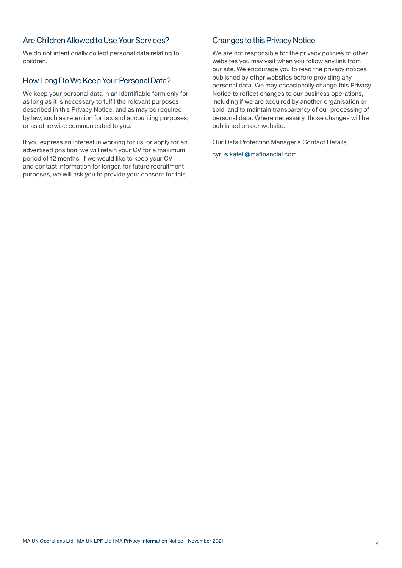#### Are Children Allowed to Use Your Services?

We do not intentionally collect personal data relating to children.

#### How Long Do We Keep Your Personal Data?

We keep your personal data in an identifiable form only for as long as it is necessary to fulfil the relevant purposes described in this Privacy Notice, and as may be required by law, such as retention for tax and accounting purposes, or as otherwise communicated to you.

If you express an interest in working for us, or apply for an advertised position, we will retain your CV for a maximum period of 12 months. If we would like to keep your CV and contact information for longer, for future recruitment purposes, we will ask you to provide your consent for this.

#### Changes to this Privacy Notice

We are not responsible for the privacy policies of other websites you may visit when you follow any link from our site. We encourage you to read the privacy notices published by other websites before providing any personal data. We may occasionally change this Privacy Notice to reflect changes to our business operations, including if we are acquired by another organisation or sold, and to maintain transparency of our processing of personal data. Where necessary, those changes will be published on our website.

Our Data Protection Manager's Contact Details:

[cyrus.kateli@mafinancial.com](mailto:cyrus.kateli%40mafinancial.com?subject=)